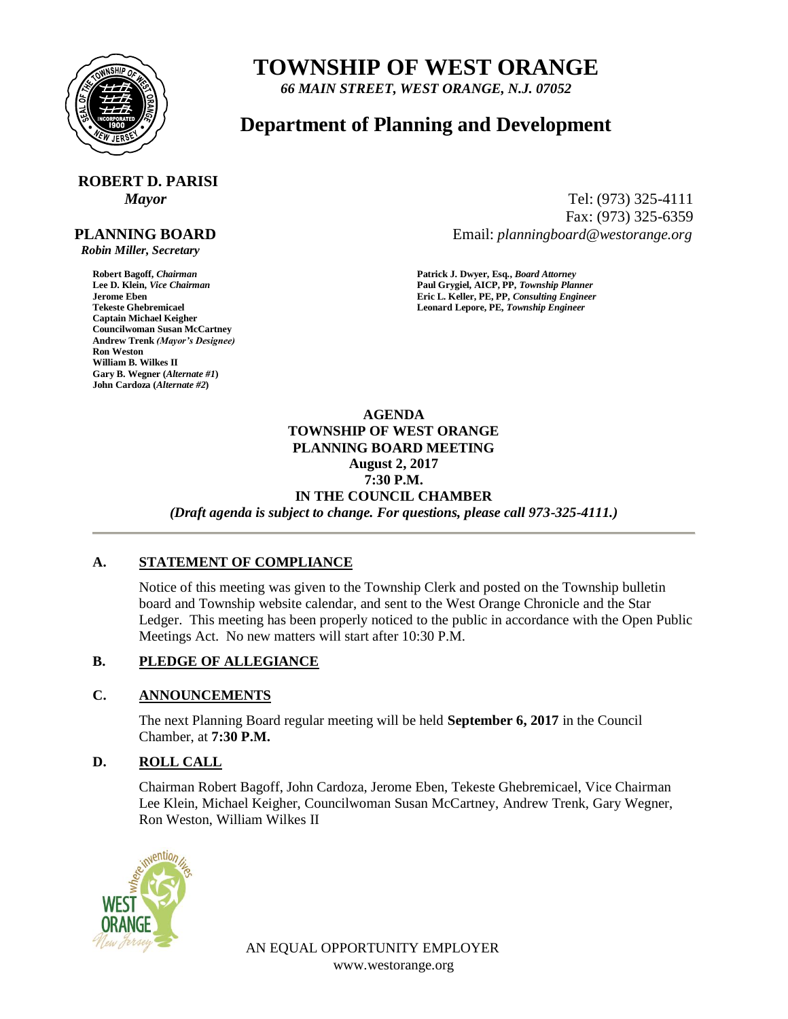

# **TOWNSHIP OF WEST ORANGE**

*66 MAIN STREET, WEST ORANGE, N.J. 07052*

## **Department of Planning and Development**

# **ROBERT D. PARISI**

#### **PLANNING BOARD**

 *Robin Miller, Secretary*

**Captain Michael Keigher Councilwoman Susan McCartney Andrew Trenk** *(Mayor's Designee)* **Ron Weston William B. Wilkes II Gary B. Wegner (***Alternate #1***) John Cardoza (***Alternate #2***)**

*Mayor* Tel: (973) 325-4111 Fax: (973) 325-6359 Email: *planningboard@westorange.org*

**Robert Bagoff,** *Chairman* **<b>Patrick J. Dwyer, Esq.,** *Board Attorney*<br> **Patrick J. Dwyer, Esq.,** *Board Attorney*<br> **Paul Grygiel, AICP, PP,** *Township Plan* **Lee D. Klein,** *Vice Chairman* **Paul Grygiel, AICP, PP,** *Township Planner* **Jerome Eben Eric L. Keller, PE, PP,** *Consulting Engineer* Leonard Lepore, PE, Township Engineer

> **AGENDA TOWNSHIP OF WEST ORANGE PLANNING BOARD MEETING August 2, 2017 7:30 P.M. IN THE COUNCIL CHAMBER** *(Draft agenda is subject to change. For questions, please call 973-325-4111.)*

#### **A. STATEMENT OF COMPLIANCE**

Notice of this meeting was given to the Township Clerk and posted on the Township bulletin board and Township website calendar, and sent to the West Orange Chronicle and the Star Ledger. This meeting has been properly noticed to the public in accordance with the Open Public Meetings Act. No new matters will start after 10:30 P.M.

### **B. PLEDGE OF ALLEGIANCE**

#### **C. ANNOUNCEMENTS**

The next Planning Board regular meeting will be held **September 6, 2017** in the Council Chamber, at **7:30 P.M.**

#### **D. ROLL CALL**

Chairman Robert Bagoff, John Cardoza, Jerome Eben, Tekeste Ghebremicael, Vice Chairman Lee Klein, Michael Keigher, Councilwoman Susan McCartney, Andrew Trenk, Gary Wegner, Ron Weston, William Wilkes II



AN EQUAL OPPORTUNITY EMPLOYER www.westorange.org